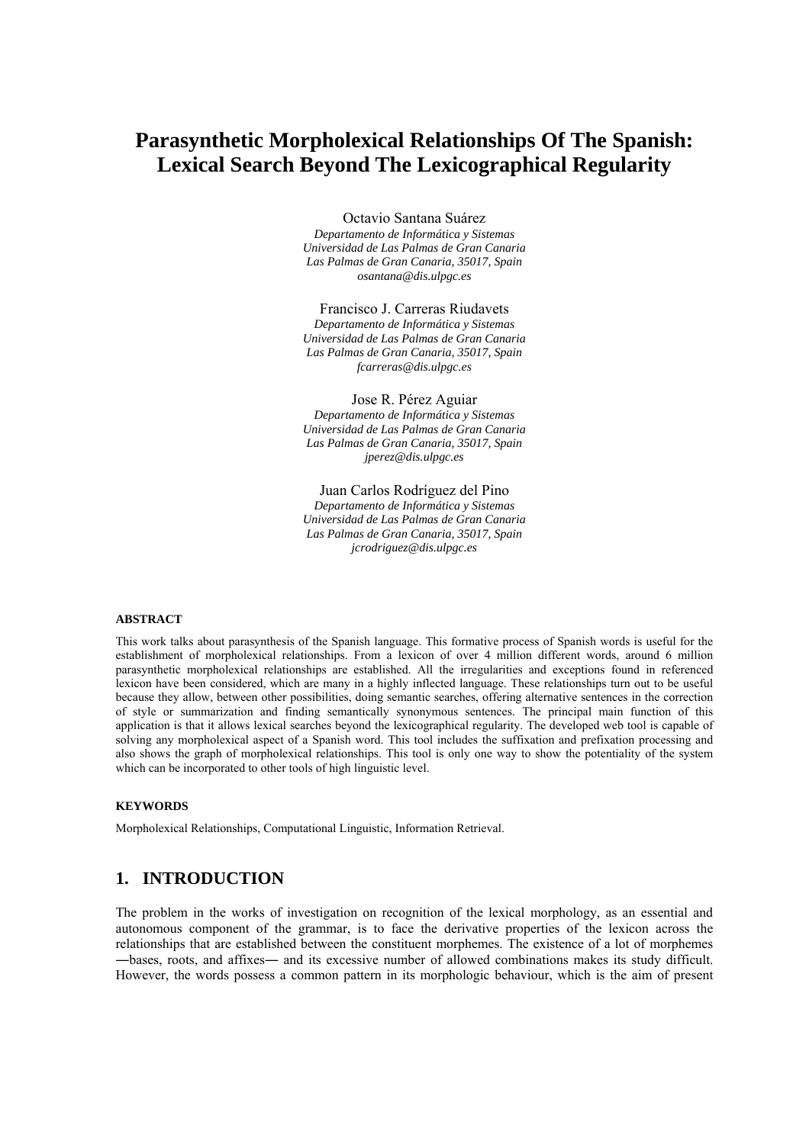# **Parasynthetic Morpholexical Relationships Of The Spanish: Lexical Search Beyond The Lexicographical Regularity**

Octavio Santana Suárez

*Departamento de Informática y Sistemas Universidad de Las Palmas de Gran Canaria Las Palmas de Gran Canaria, 35017, Spain osantana@dis.ulpgc.es* 

Francisco J. Carreras Riudavets

*Departamento de Informática y Sistemas Universidad de Las Palmas de Gran Canaria Las Palmas de Gran Canaria, 35017, Spain fcarreras@dis.ulpgc.es* 

Jose R. Pérez Aguiar *Departamento de Informática y Sistemas Universidad de Las Palmas de Gran Canaria Las Palmas de Gran Canaria, 35017, Spain jperez@dis.ulpgc.es* 

Juan Carlos Rodríguez del Pino *Departamento de Informática y Sistemas Universidad de Las Palmas de Gran Canaria Las Palmas de Gran Canaria, 35017, Spain jcrodriguez@dis.ulpgc.es* 

#### **ABSTRACT**

This work talks about parasynthesis of the Spanish language. This formative process of Spanish words is useful for the establishment of morpholexical relationships. From a lexicon of over 4 million different words, around 6 million parasynthetic morpholexical relationships are established. All the irregularities and exceptions found in referenced lexicon have been considered, which are many in a highly inflected language. These relationships turn out to be useful because they allow, between other possibilities, doing semantic searches, offering alternative sentences in the correction of style or summarization and finding semantically synonymous sentences. The principal main function of this application is that it allows lexical searches beyond the lexicographical regularity. The developed web tool is capable of solving any morpholexical aspect of a Spanish word. This tool includes the suffixation and prefixation processing and also shows the graph of morpholexical relationships. This tool is only one way to show the potentiality of the system which can be incorporated to other tools of high linguistic level.

#### **KEYWORDS**

Morpholexical Relationships, Computational Linguistic, Information Retrieval.

## **1. INTRODUCTION**

The problem in the works of investigation on recognition of the lexical morphology, as an essential and autonomous component of the grammar, is to face the derivative properties of the lexicon across the relationships that are established between the constituent morphemes. The existence of a lot of morphemes ―bases, roots, and affixes― and its excessive number of allowed combinations makes its study difficult. However, the words possess a common pattern in its morphologic behaviour, which is the aim of present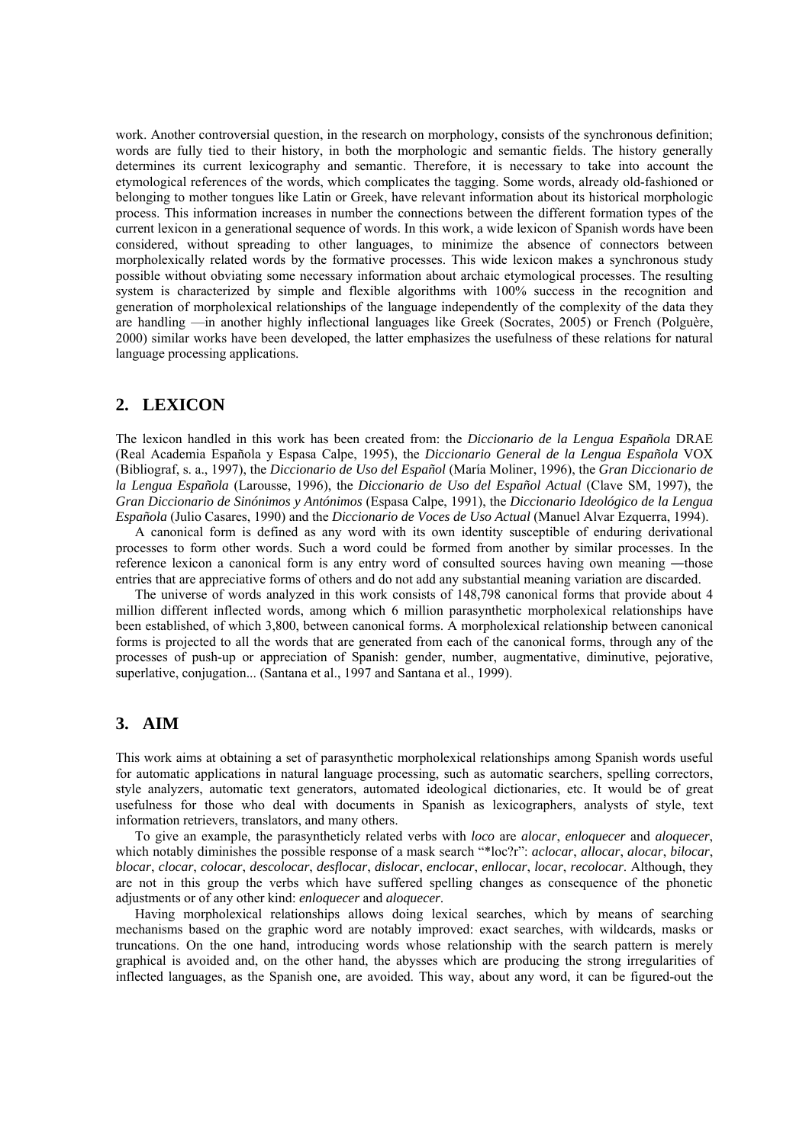work. Another controversial question, in the research on morphology, consists of the synchronous definition; words are fully tied to their history, in both the morphologic and semantic fields. The history generally determines its current lexicography and semantic. Therefore, it is necessary to take into account the etymological references of the words, which complicates the tagging. Some words, already old-fashioned or belonging to mother tongues like Latin or Greek, have relevant information about its historical morphologic process. This information increases in number the connections between the different formation types of the current lexicon in a generational sequence of words. In this work, a wide lexicon of Spanish words have been considered, without spreading to other languages, to minimize the absence of connectors between morpholexically related words by the formative processes. This wide lexicon makes a synchronous study possible without obviating some necessary information about archaic etymological processes. The resulting system is characterized by simple and flexible algorithms with 100% success in the recognition and generation of morpholexical relationships of the language independently of the complexity of the data they are handling —in another highly inflectional languages like Greek (Socrates, 2005) or French (Polguère, 2000) similar works have been developed, the latter emphasizes the usefulness of these relations for natural language processing applications.

## **2. LEXICON**

The lexicon handled in this work has been created from: the *Diccionario de la Lengua Española* DRAE (Real Academia Española y Espasa Calpe, 1995), the *Diccionario General de la Lengua Española* VOX (Bibliograf, s. a., 1997), the *Diccionario de Uso del Español* (María Moliner, 1996), the *Gran Diccionario de la Lengua Española* (Larousse, 1996), the *Diccionario de Uso del Español Actual* (Clave SM, 1997), the *Gran Diccionario de Sinónimos y Antónimos* (Espasa Calpe, 1991), the *Diccionario Ideológico de la Lengua Española* (Julio Casares, 1990) and the *Diccionario de Voces de Uso Actual* (Manuel Alvar Ezquerra, 1994).

A canonical form is defined as any word with its own identity susceptible of enduring derivational processes to form other words. Such a word could be formed from another by similar processes. In the reference lexicon a canonical form is any entry word of consulted sources having own meaning —those entries that are appreciative forms of others and do not add any substantial meaning variation are discarded.

The universe of words analyzed in this work consists of 148,798 canonical forms that provide about 4 million different inflected words, among which 6 million parasynthetic morpholexical relationships have been established, of which 3,800, between canonical forms. A morpholexical relationship between canonical forms is projected to all the words that are generated from each of the canonical forms, through any of the processes of push-up or appreciation of Spanish: gender, number, augmentative, diminutive, pejorative, superlative, conjugation... (Santana et al., 1997 and Santana et al., 1999).

## **3. AIM**

This work aims at obtaining a set of parasynthetic morpholexical relationships among Spanish words useful for automatic applications in natural language processing, such as automatic searchers, spelling correctors, style analyzers, automatic text generators, automated ideological dictionaries, etc. It would be of great usefulness for those who deal with documents in Spanish as lexicographers, analysts of style, text information retrievers, translators, and many others.

To give an example, the parasyntheticly related verbs with *loco* are *alocar*, *enloquecer* and *aloquecer*, which notably diminishes the possible response of a mask search "\*loc?r": *aclocar*, *allocar*, *alocar*, *bilocar*, *blocar*, *clocar*, *colocar*, *descolocar*, *desflocar*, *dislocar*, *enclocar*, *enllocar*, *locar*, *recolocar*. Although, they are not in this group the verbs which have suffered spelling changes as consequence of the phonetic adjustments or of any other kind: *enloquecer* and *aloquecer*.

Having morpholexical relationships allows doing lexical searches, which by means of searching mechanisms based on the graphic word are notably improved: exact searches, with wildcards, masks or truncations. On the one hand, introducing words whose relationship with the search pattern is merely graphical is avoided and, on the other hand, the abysses which are producing the strong irregularities of inflected languages, as the Spanish one, are avoided. This way, about any word, it can be figured-out the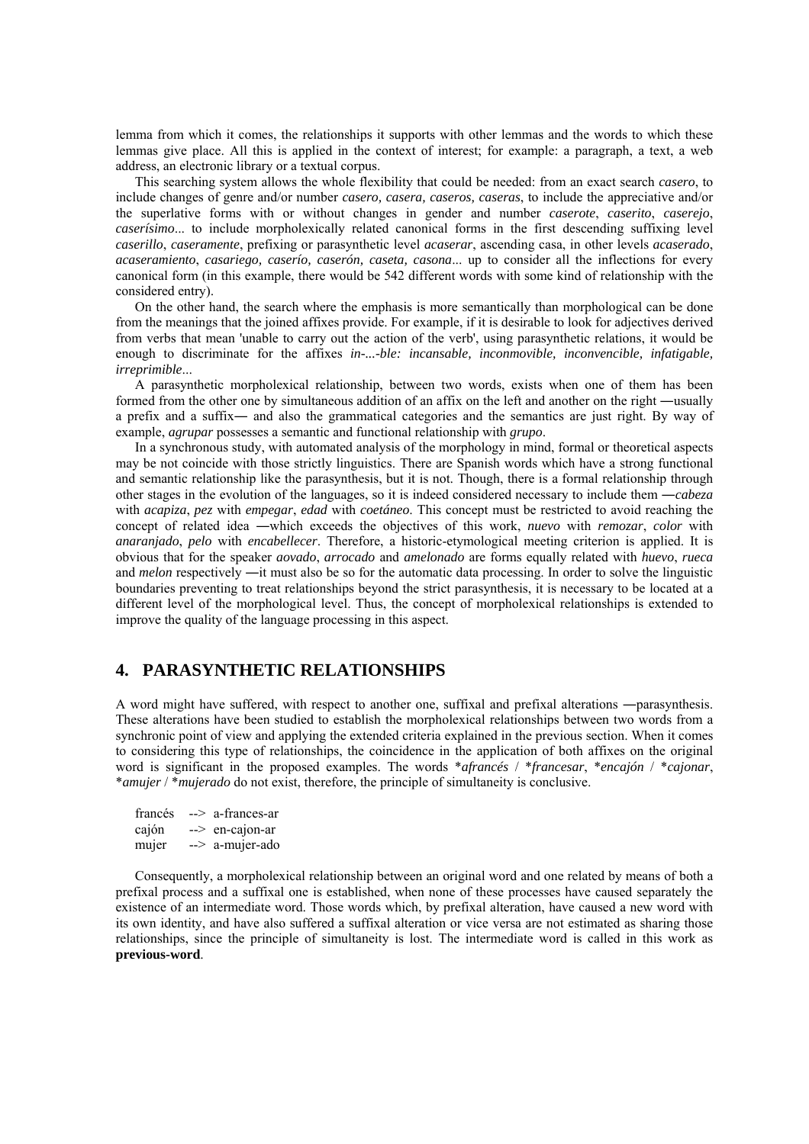lemma from which it comes, the relationships it supports with other lemmas and the words to which these lemmas give place. All this is applied in the context of interest; for example: a paragraph, a text, a web address, an electronic library or a textual corpus.

This searching system allows the whole flexibility that could be needed: from an exact search *casero*, to include changes of genre and/or number *casero, casera, caseros, caseras*, to include the appreciative and/or the superlative forms with or without changes in gender and number *caserote*, *caserito*, *caserejo*, *caserísimo*... to include morpholexically related canonical forms in the first descending suffixing level *caserillo*, *caseramente*, prefixing or parasynthetic level *acaserar*, ascending casa, in other levels *acaserado*, *acaseramiento*, *casariego, caserío, caserón, caseta, casona*... up to consider all the inflections for every canonical form (in this example, there would be 542 different words with some kind of relationship with the considered entry).

On the other hand, the search where the emphasis is more semantically than morphological can be done from the meanings that the joined affixes provide. For example, if it is desirable to look for adjectives derived from verbs that mean 'unable to carry out the action of the verb', using parasynthetic relations, it would be enough to discriminate for the affixes *in-...-ble: incansable, inconmovible, inconvencible, infatigable, irreprimible*...

A parasynthetic morpholexical relationship, between two words, exists when one of them has been formed from the other one by simultaneous addition of an affix on the left and another on the right ―usually a prefix and a suffix― and also the grammatical categories and the semantics are just right. By way of example, *agrupar* possesses a semantic and functional relationship with *grupo*.

In a synchronous study, with automated analysis of the morphology in mind, formal or theoretical aspects may be not coincide with those strictly linguistics. There are Spanish words which have a strong functional and semantic relationship like the parasynthesis, but it is not. Though, there is a formal relationship through other stages in the evolution of the languages, so it is indeed considered necessary to include them ―*cabeza* with *acapiza*, *pez* with *empegar*, *edad* with *coetáneo*. This concept must be restricted to avoid reaching the concept of related idea ―which exceeds the objectives of this work, *nuevo* with *remozar*, *color* with *anaranjado*, *pelo* with *encabellecer*. Therefore, a historic-etymological meeting criterion is applied. It is obvious that for the speaker *aovado*, *arrocado* and *amelonado* are forms equally related with *huevo*, *rueca* and *melon* respectively —it must also be so for the automatic data processing. In order to solve the linguistic boundaries preventing to treat relationships beyond the strict parasynthesis, it is necessary to be located at a different level of the morphological level. Thus, the concept of morpholexical relationships is extended to improve the quality of the language processing in this aspect.

## **4. PARASYNTHETIC RELATIONSHIPS**

A word might have suffered, with respect to another one, suffixal and prefixal alterations ―parasynthesis. These alterations have been studied to establish the morpholexical relationships between two words from a synchronic point of view and applying the extended criteria explained in the previous section. When it comes to considering this type of relationships, the coincidence in the application of both affixes on the original word is significant in the proposed examples. The words \**afrancés* / \**francesar*, \**encajón* / \**cajonar*, \**amujer* / \**mujerado* do not exist, therefore, the principle of simultaneity is conclusive.

| francés | --> a-frances-ar          |
|---------|---------------------------|
| cajón   | $\rightarrow$ en-cajon-ar |
| mujer   | --> a-mujer-ado           |

Consequently, a morpholexical relationship between an original word and one related by means of both a prefixal process and a suffixal one is established, when none of these processes have caused separately the existence of an intermediate word. Those words which, by prefixal alteration, have caused a new word with its own identity, and have also suffered a suffixal alteration or vice versa are not estimated as sharing those relationships, since the principle of simultaneity is lost. The intermediate word is called in this work as **previous-word**.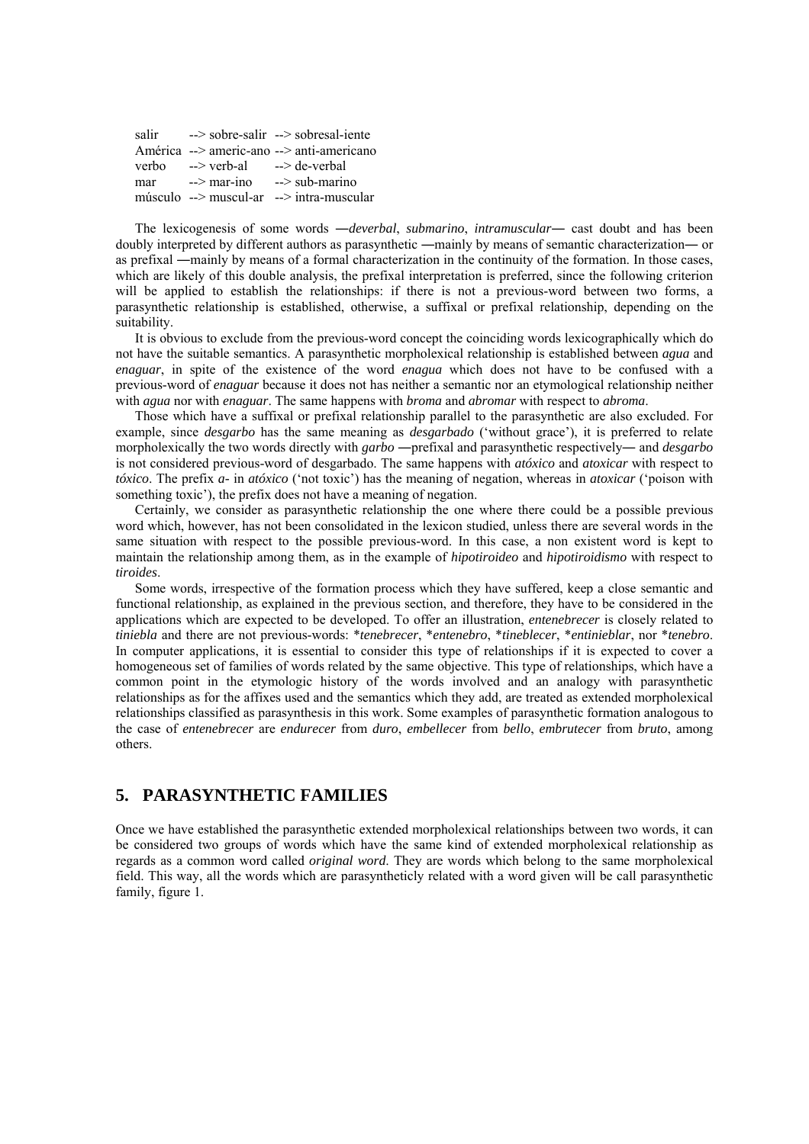|     |                       | salir $\longrightarrow$ sobre-salir $\longrightarrow$ sobresal-iente |
|-----|-----------------------|----------------------------------------------------------------------|
|     |                       | América --> americ-ano --> anti-americano                            |
|     | verbo --> verb-al     | --> de-verbal                                                        |
| mar | $\rightarrow$ mar-ino | $\rightarrow$ sub-marino                                             |
|     |                       | músculo --> muscul-ar --> intra-muscular                             |

The lexicogenesis of some words ―*deverbal*, *submarino*, *intramuscular*― cast doubt and has been doubly interpreted by different authors as parasynthetic ―mainly by means of semantic characterization― or as prefixal ―mainly by means of a formal characterization in the continuity of the formation. In those cases, which are likely of this double analysis, the prefixal interpretation is preferred, since the following criterion will be applied to establish the relationships: if there is not a previous-word between two forms, a parasynthetic relationship is established, otherwise, a suffixal or prefixal relationship, depending on the suitability.

It is obvious to exclude from the previous-word concept the coinciding words lexicographically which do not have the suitable semantics. A parasynthetic morpholexical relationship is established between *agua* and *enaguar*, in spite of the existence of the word *enagua* which does not have to be confused with a previous-word of *enaguar* because it does not has neither a semantic nor an etymological relationship neither with *agua* nor with *enaguar*. The same happens with *broma* and *abromar* with respect to *abroma*.

Those which have a suffixal or prefixal relationship parallel to the parasynthetic are also excluded. For example, since *desgarbo* has the same meaning as *desgarbado* ('without grace'), it is preferred to relate morpholexically the two words directly with *garbo* ―prefixal and parasynthetic respectively― and *desgarbo* is not considered previous-word of desgarbado. The same happens with *atóxico* and *atoxicar* with respect to *tóxico*. The prefix *a-* in *atóxico* ('not toxic') has the meaning of negation, whereas in *atoxicar* ('poison with something toxic'), the prefix does not have a meaning of negation.

Certainly, we consider as parasynthetic relationship the one where there could be a possible previous word which, however, has not been consolidated in the lexicon studied, unless there are several words in the same situation with respect to the possible previous-word. In this case, a non existent word is kept to maintain the relationship among them, as in the example of *hipotiroideo* and *hipotiroidismo* with respect to *tiroides*.

Some words, irrespective of the formation process which they have suffered, keep a close semantic and functional relationship, as explained in the previous section, and therefore, they have to be considered in the applications which are expected to be developed. To offer an illustration, *entenebrecer* is closely related to *tiniebla* and there are not previous-words: \**tenebrecer*, \**entenebro*, \**tineblecer*, \**entinieblar*, nor \**tenebro*. In computer applications, it is essential to consider this type of relationships if it is expected to cover a homogeneous set of families of words related by the same objective. This type of relationships, which have a common point in the etymologic history of the words involved and an analogy with parasynthetic relationships as for the affixes used and the semantics which they add, are treated as extended morpholexical relationships classified as parasynthesis in this work. Some examples of parasynthetic formation analogous to the case of *entenebrecer* are *endurecer* from *duro*, *embellecer* from *bello*, *embrutecer* from *bruto*, among others.

## **5. PARASYNTHETIC FAMILIES**

Once we have established the parasynthetic extended morpholexical relationships between two words, it can be considered two groups of words which have the same kind of extended morpholexical relationship as regards as a common word called *original word*. They are words which belong to the same morpholexical field. This way, all the words which are parasyntheticly related with a word given will be call parasynthetic family, figure 1.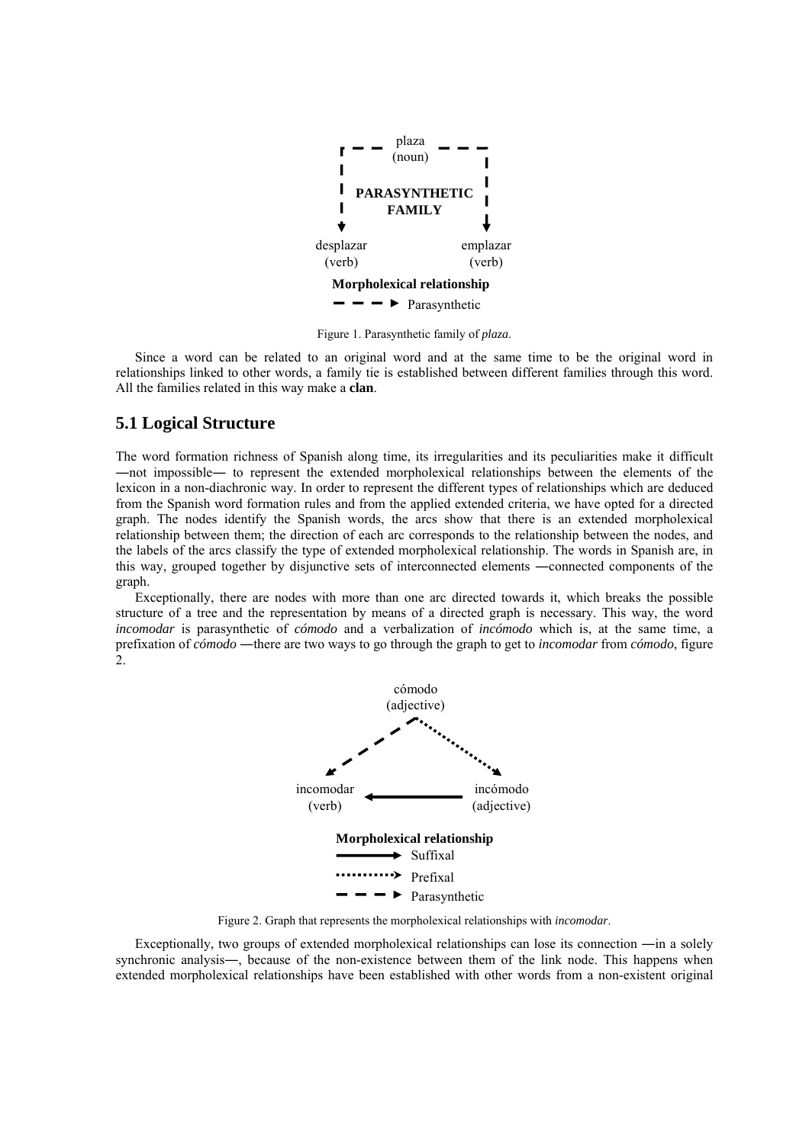

Figure 1. Parasynthetic family of *plaza*.

Since a word can be related to an original word and at the same time to be the original word in relationships linked to other words, a family tie is established between different families through this word. All the families related in this way make a **clan**.

### **5.1 Logical Structure**

The word formation richness of Spanish along time, its irregularities and its peculiarities make it difficult ―not impossible― to represent the extended morpholexical relationships between the elements of the lexicon in a non-diachronic way. In order to represent the different types of relationships which are deduced from the Spanish word formation rules and from the applied extended criteria, we have opted for a directed graph. The nodes identify the Spanish words, the arcs show that there is an extended morpholexical relationship between them; the direction of each arc corresponds to the relationship between the nodes, and the labels of the arcs classify the type of extended morpholexical relationship. The words in Spanish are, in this way, grouped together by disjunctive sets of interconnected elements ―connected components of the graph.

Exceptionally, there are nodes with more than one arc directed towards it, which breaks the possible structure of a tree and the representation by means of a directed graph is necessary. This way, the word *incomodar* is parasynthetic of *cómodo* and a verbalization of *incómodo* which is, at the same time, a prefixation of *cómodo* ―there are two ways to go through the graph to get to *incomodar* from *cómodo*, figure  $\mathcal{L}$ 



Figure 2. Graph that represents the morpholexical relationships with *incomodar*.

Exceptionally, two groups of extended morpholexical relationships can lose its connection ―in a solely synchronic analysis—, because of the non-existence between them of the link node. This happens when extended morpholexical relationships have been established with other words from a non-existent original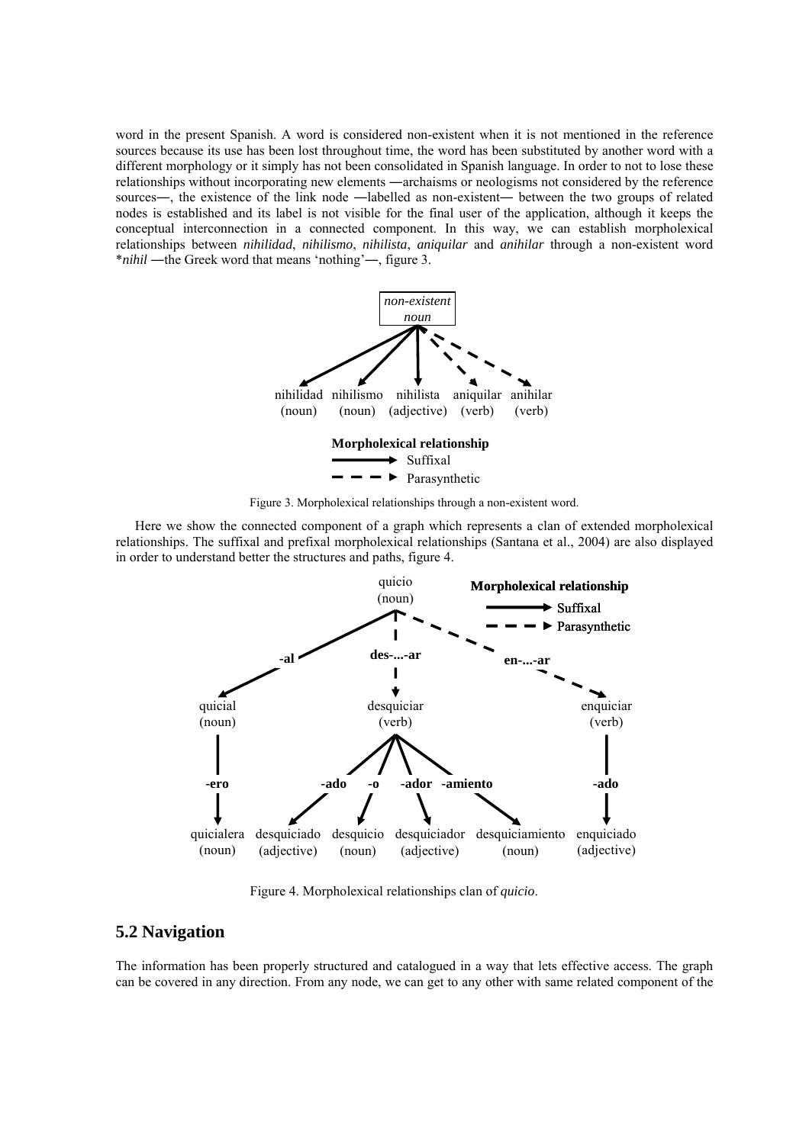word in the present Spanish. A word is considered non-existent when it is not mentioned in the reference sources because its use has been lost throughout time, the word has been substituted by another word with a different morphology or it simply has not been consolidated in Spanish language. In order to not to lose these relationships without incorporating new elements ―archaisms or neologisms not considered by the reference sources—, the existence of the link node —labelled as non-existent— between the two groups of related nodes is established and its label is not visible for the final user of the application, although it keeps the conceptual interconnection in a connected component. In this way, we can establish morpholexical relationships between *nihilidad*, *nihilismo*, *nihilista*, *aniquilar* and *anihilar* through a non-existent word \**nihil* ―the Greek word that means 'nothing'―, figure 3.



Figure 3. Morpholexical relationships through a non-existent word.

Here we show the connected component of a graph which represents a clan of extended morpholexical relationships. The suffixal and prefixal morpholexical relationships (Santana et al., 2004) are also displayed in order to understand better the structures and paths, figure 4.



Figure 4. Morpholexical relationships clan of *quicio*.

## **5.2 Navigation**

The information has been properly structured and catalogued in a way that lets effective access. The graph can be covered in any direction. From any node, we can get to any other with same related component of the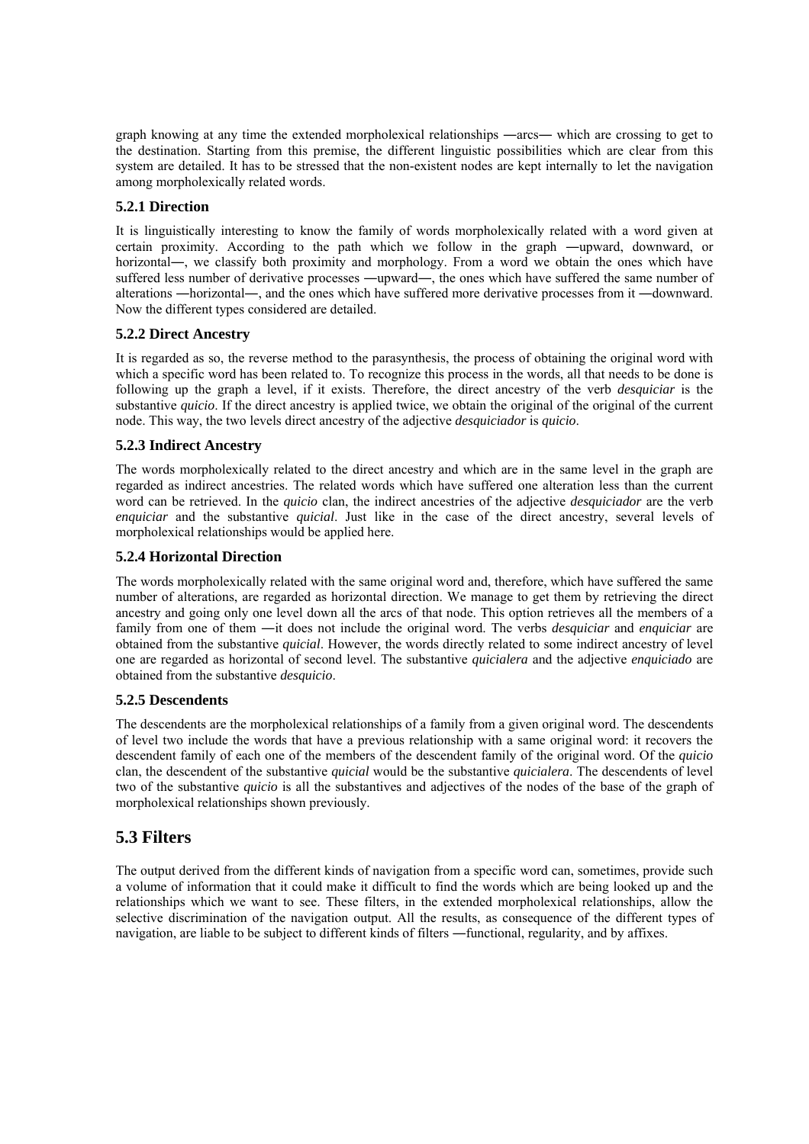graph knowing at any time the extended morpholexical relationships ―arcs― which are crossing to get to the destination. Starting from this premise, the different linguistic possibilities which are clear from this system are detailed. It has to be stressed that the non-existent nodes are kept internally to let the navigation among morpholexically related words.

### **5.2.1 Direction**

It is linguistically interesting to know the family of words morpholexically related with a word given at certain proximity. According to the path which we follow in the graph ―upward, downward, or horizontal—, we classify both proximity and morphology. From a word we obtain the ones which have suffered less number of derivative processes ―upward―, the ones which have suffered the same number of alterations ―horizontal―, and the ones which have suffered more derivative processes from it ―downward. Now the different types considered are detailed.

### **5.2.2 Direct Ancestry**

It is regarded as so, the reverse method to the parasynthesis, the process of obtaining the original word with which a specific word has been related to. To recognize this process in the words, all that needs to be done is following up the graph a level, if it exists. Therefore, the direct ancestry of the verb *desquiciar* is the substantive *quicio*. If the direct ancestry is applied twice, we obtain the original of the original of the current node. This way, the two levels direct ancestry of the adjective *desquiciador* is *quicio*.

#### **5.2.3 Indirect Ancestry**

The words morpholexically related to the direct ancestry and which are in the same level in the graph are regarded as indirect ancestries. The related words which have suffered one alteration less than the current word can be retrieved. In the *quicio* clan, the indirect ancestries of the adjective *desquiciador* are the verb *enquiciar* and the substantive *quicial*. Just like in the case of the direct ancestry, several levels of morpholexical relationships would be applied here.

#### **5.2.4 Horizontal Direction**

The words morpholexically related with the same original word and, therefore, which have suffered the same number of alterations, are regarded as horizontal direction. We manage to get them by retrieving the direct ancestry and going only one level down all the arcs of that node. This option retrieves all the members of a family from one of them ―it does not include the original word. The verbs *desquiciar* and *enquiciar* are obtained from the substantive *quicial*. However, the words directly related to some indirect ancestry of level one are regarded as horizontal of second level. The substantive *quicialera* and the adjective *enquiciado* are obtained from the substantive *desquicio*.

#### **5.2.5 Descendents**

The descendents are the morpholexical relationships of a family from a given original word. The descendents of level two include the words that have a previous relationship with a same original word: it recovers the descendent family of each one of the members of the descendent family of the original word. Of the *quicio* clan, the descendent of the substantive *quicial* would be the substantive *quicialera*. The descendents of level two of the substantive *quicio* is all the substantives and adjectives of the nodes of the base of the graph of morpholexical relationships shown previously.

# **5.3 Filters**

The output derived from the different kinds of navigation from a specific word can, sometimes, provide such a volume of information that it could make it difficult to find the words which are being looked up and the relationships which we want to see. These filters, in the extended morpholexical relationships, allow the selective discrimination of the navigation output. All the results, as consequence of the different types of navigation, are liable to be subject to different kinds of filters ―functional, regularity, and by affixes.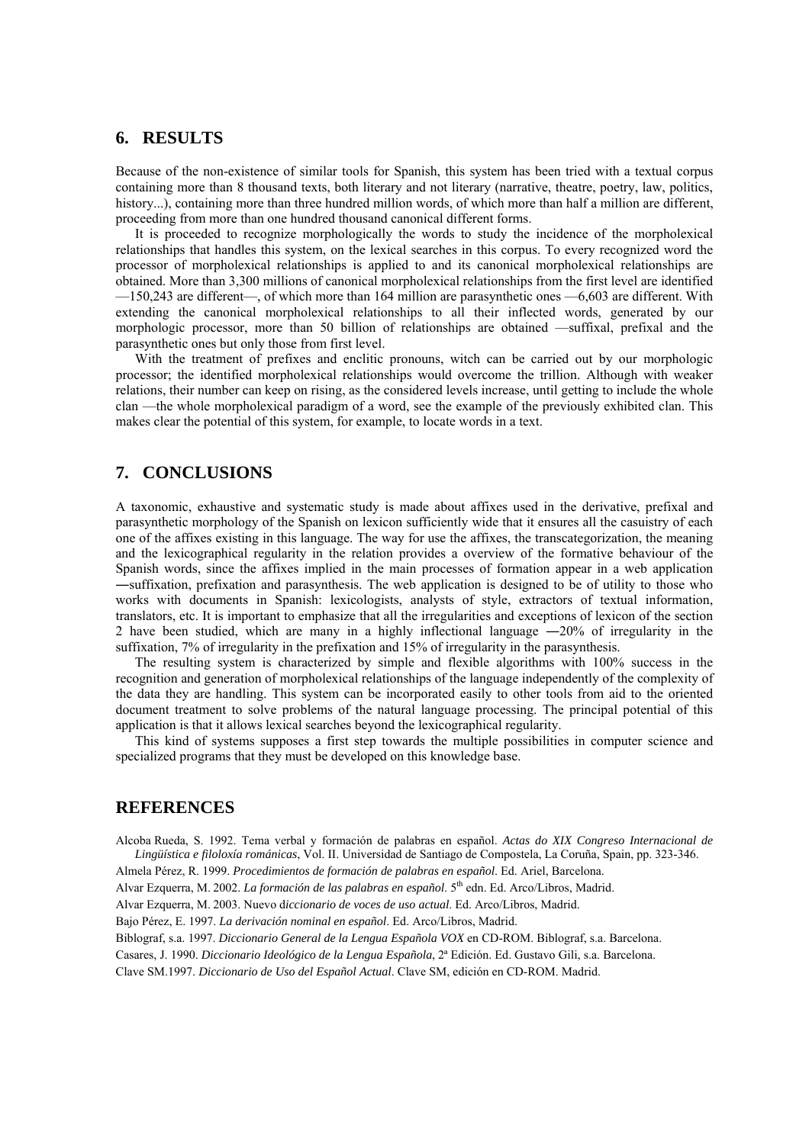### **6. RESULTS**

Because of the non-existence of similar tools for Spanish, this system has been tried with a textual corpus containing more than 8 thousand texts, both literary and not literary (narrative, theatre, poetry, law, politics, history...), containing more than three hundred million words, of which more than half a million are different, proceeding from more than one hundred thousand canonical different forms.

It is proceeded to recognize morphologically the words to study the incidence of the morpholexical relationships that handles this system, on the lexical searches in this corpus. To every recognized word the processor of morpholexical relationships is applied to and its canonical morpholexical relationships are obtained. More than 3,300 millions of canonical morpholexical relationships from the first level are identified —150,243 are different—, of which more than 164 million are parasynthetic ones —6,603 are different. With extending the canonical morpholexical relationships to all their inflected words, generated by our morphologic processor, more than 50 billion of relationships are obtained —suffixal, prefixal and the parasynthetic ones but only those from first level.

With the treatment of prefixes and enclitic pronouns, witch can be carried out by our morphologic processor; the identified morpholexical relationships would overcome the trillion. Although with weaker relations, their number can keep on rising, as the considered levels increase, until getting to include the whole clan —the whole morpholexical paradigm of a word, see the example of the previously exhibited clan. This makes clear the potential of this system, for example, to locate words in a text.

## **7. CONCLUSIONS**

A taxonomic, exhaustive and systematic study is made about affixes used in the derivative, prefixal and parasynthetic morphology of the Spanish on lexicon sufficiently wide that it ensures all the casuistry of each one of the affixes existing in this language. The way for use the affixes, the transcategorization, the meaning and the lexicographical regularity in the relation provides a overview of the formative behaviour of the Spanish words, since the affixes implied in the main processes of formation appear in a web application ―suffixation, prefixation and parasynthesis. The web application is designed to be of utility to those who works with documents in Spanish: lexicologists, analysts of style, extractors of textual information, translators, etc. It is important to emphasize that all the irregularities and exceptions of lexicon of the section 2 have been studied, which are many in a highly inflectional language ―20% of irregularity in the suffixation, 7% of irregularity in the prefixation and 15% of irregularity in the parasynthesis.

The resulting system is characterized by simple and flexible algorithms with 100% success in the recognition and generation of morpholexical relationships of the language independently of the complexity of the data they are handling. This system can be incorporated easily to other tools from aid to the oriented document treatment to solve problems of the natural language processing. The principal potential of this application is that it allows lexical searches beyond the lexicographical regularity.

This kind of systems supposes a first step towards the multiple possibilities in computer science and specialized programs that they must be developed on this knowledge base.

## **REFERENCES**

Alcoba Rueda, S. 1992. Tema verbal y formación de palabras en español. *Actas do XIX Congreso Internacional de Lingüística e filoloxía románicas*, Vol. II. Universidad de Santiago de Compostela, La Coruña, Spain, pp. 323-346.

Almela Pérez, R. 1999. *Procedimientos de formación de palabras en español*. Ed. Ariel, Barcelona.

Alvar Ezquerra, M. 2002. *La formación de las palabras en español*. 5th edn. Ed. Arco/Libros, Madrid.

Alvar Ezquerra, M. 2003. Nuevo d*iccionario de voces de uso actual*. Ed. Arco/Libros, Madrid.

Bajo Pérez, E. 1997. *La derivación nominal en español*. Ed. Arco/Libros, Madrid.

Biblograf, s.a. 1997. *Diccionario General de la Lengua Española VOX* en CD-ROM. Biblograf, s.a. Barcelona.

Casares, J. 1990. *Diccionario Ideológico de la Lengua Española*, 2ª Edición. Ed. Gustavo Gili, s.a. Barcelona.

Clave SM.1997. *Diccionario de Uso del Español Actual*. Clave SM, edición en CD-ROM. Madrid.